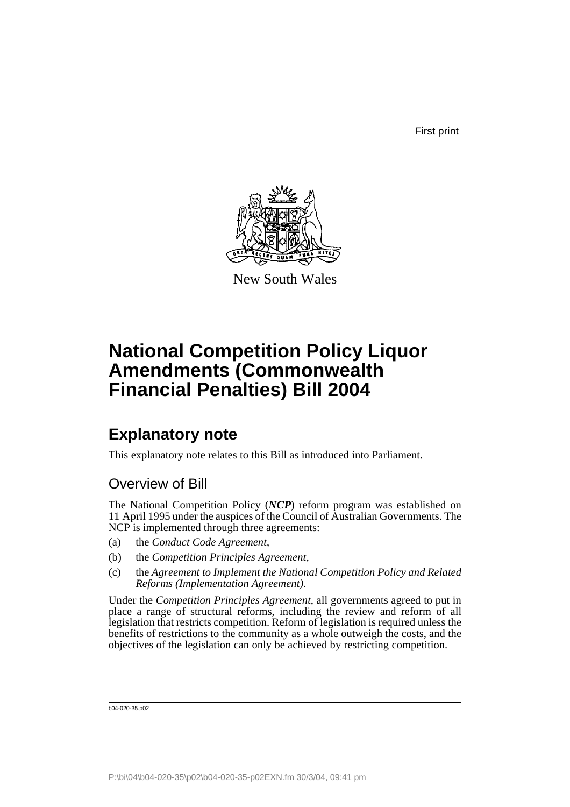First print



New South Wales

# **National Competition Policy Liquor Amendments (Commonwealth Financial Penalties) Bill 2004**

## **Explanatory note**

This explanatory note relates to this Bill as introduced into Parliament.

## Overview of Bill

The National Competition Policy (*NCP*) reform program was established on 11 April 1995 under the auspices of the Council of Australian Governments. The NCP is implemented through three agreements:

- (a) the *Conduct Code Agreement*,
- (b) the *Competition Principles Agreement*,
- (c) the *Agreement to Implement the National Competition Policy and Related Reforms (Implementation Agreement)*.

Under the *Competition Principles Agreement*, all governments agreed to put in place a range of structural reforms, including the review and reform of all legislation that restricts competition. Reform of legislation is required unless the benefits of restrictions to the community as a whole outweigh the costs, and the objectives of the legislation can only be achieved by restricting competition.

b04-020-35.p02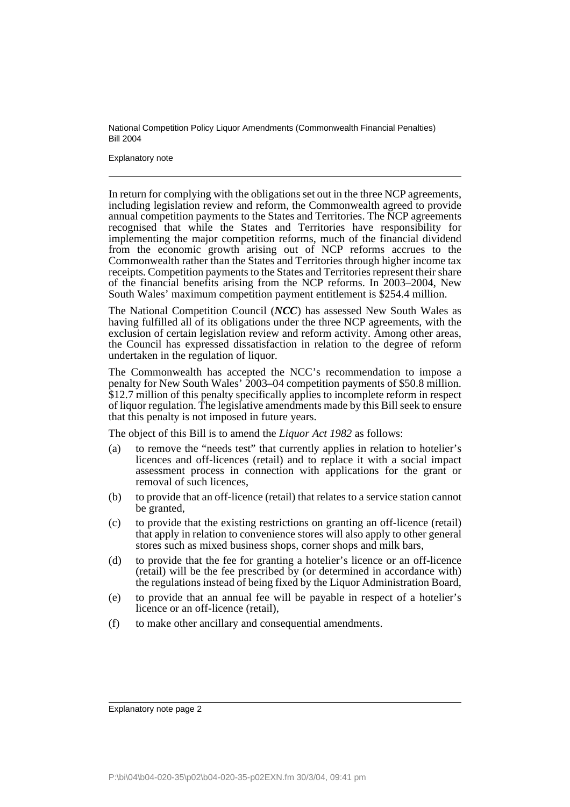Explanatory note

In return for complying with the obligations set out in the three NCP agreements, including legislation review and reform, the Commonwealth agreed to provide annual competition payments to the States and Territories. The NCP agreements recognised that while the States and Territories have responsibility for implementing the major competition reforms, much of the financial dividend from the economic growth arising out of NCP reforms accrues to the Commonwealth rather than the States and Territories through higher income tax receipts. Competition payments to the States and Territories represent their share of the financial benefits arising from the NCP reforms. In 2003–2004, New South Wales' maximum competition payment entitlement is \$254.4 million.

The National Competition Council (*NCC*) has assessed New South Wales as having fulfilled all of its obligations under the three NCP agreements, with the exclusion of certain legislation review and reform activity. Among other areas, the Council has expressed dissatisfaction in relation to the degree of reform undertaken in the regulation of liquor.

The Commonwealth has accepted the NCC's recommendation to impose a penalty for New South Wales' 2003–04 competition payments of \$50.8 million. \$12.7 million of this penalty specifically applies to incomplete reform in respect of liquor regulation. The legislative amendments made by this Bill seek to ensure that this penalty is not imposed in future years.

The object of this Bill is to amend the *Liquor Act 1982* as follows:

- (a) to remove the "needs test" that currently applies in relation to hotelier's licences and off-licences (retail) and to replace it with a social impact assessment process in connection with applications for the grant or removal of such licences,
- (b) to provide that an off-licence (retail) that relates to a service station cannot be granted,
- (c) to provide that the existing restrictions on granting an off-licence (retail) that apply in relation to convenience stores will also apply to other general stores such as mixed business shops, corner shops and milk bars,
- (d) to provide that the fee for granting a hotelier's licence or an off-licence (retail) will be the fee prescribed by (or determined in accordance with) the regulations instead of being fixed by the Liquor Administration Board,
- (e) to provide that an annual fee will be payable in respect of a hotelier's licence or an off-licence (retail),
- (f) to make other ancillary and consequential amendments.

Explanatory note page 2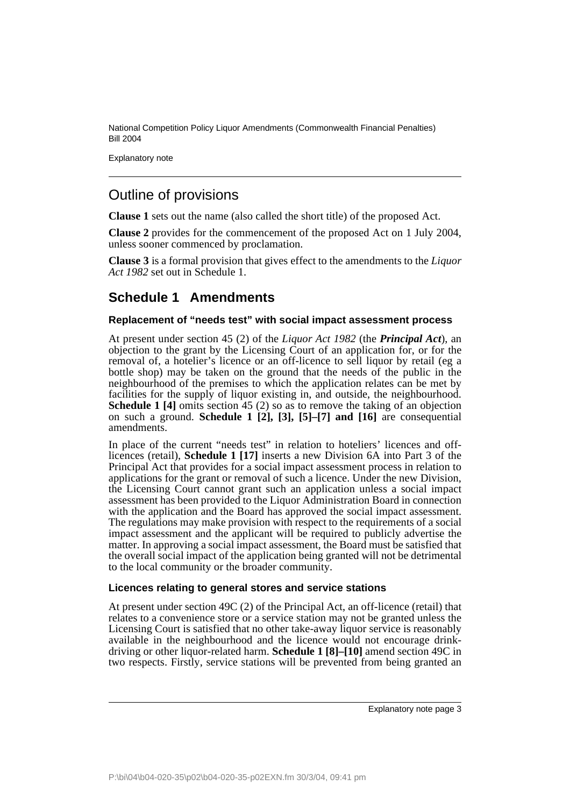Explanatory note

### Outline of provisions

**Clause 1** sets out the name (also called the short title) of the proposed Act.

**Clause 2** provides for the commencement of the proposed Act on 1 July 2004, unless sooner commenced by proclamation.

**Clause 3** is a formal provision that gives effect to the amendments to the *Liquor Act 1982* set out in Schedule 1.

### **Schedule 1 Amendments**

#### **Replacement of "needs test" with social impact assessment process**

At present under section 45 (2) of the *Liquor Act 1982* (the *Principal Act*), an objection to the grant by the Licensing Court of an application for, or for the removal of, a hotelier's licence or an off-licence to sell liquor by retail (eg a bottle shop) may be taken on the ground that the needs of the public in the neighbourhood of the premises to which the application relates can be met by facilities for the supply of liquor existing in, and outside, the neighbourhood. **Schedule 1 [4]** omits section 45 (2) so as to remove the taking of an objection on such a ground. **Schedule 1 [2], [3], [5]–[7] and [16]** are consequential amendments.

In place of the current "needs test" in relation to hoteliers' licences and offlicences (retail), **Schedule 1 [17]** inserts a new Division 6A into Part 3 of the Principal Act that provides for a social impact assessment process in relation to applications for the grant or removal of such a licence. Under the new Division, the Licensing Court cannot grant such an application unless a social impact assessment has been provided to the Liquor Administration Board in connection with the application and the Board has approved the social impact assessment. The regulations may make provision with respect to the requirements of a social impact assessment and the applicant will be required to publicly advertise the matter. In approving a social impact assessment, the Board must be satisfied that the overall social impact of the application being granted will not be detrimental to the local community or the broader community.

#### **Licences relating to general stores and service stations**

At present under section 49C (2) of the Principal Act, an off-licence (retail) that relates to a convenience store or a service station may not be granted unless the Licensing Court is satisfied that no other take-away liquor service is reasonably available in the neighbourhood and the licence would not encourage drinkdriving or other liquor-related harm. **Schedule 1 [8]–[10]** amend section 49C in two respects. Firstly, service stations will be prevented from being granted an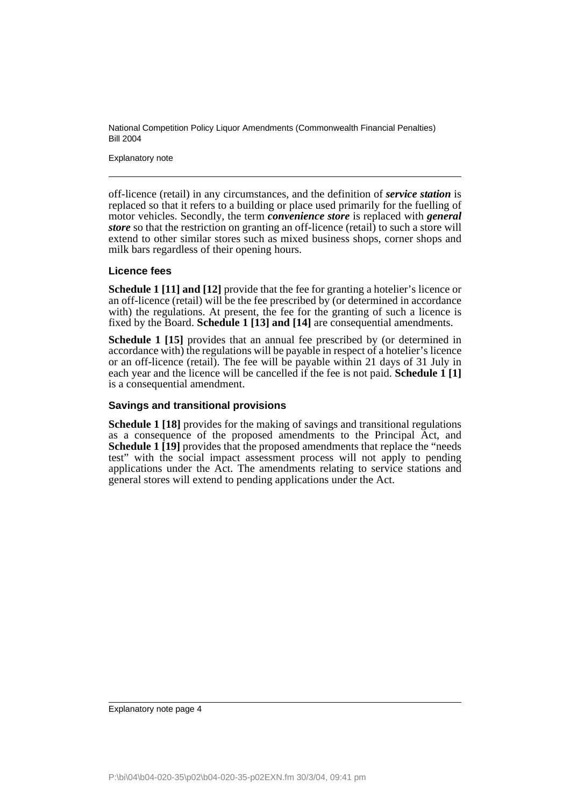Explanatory note

off-licence (retail) in any circumstances, and the definition of *service station* is replaced so that it refers to a building or place used primarily for the fuelling of motor vehicles. Secondly, the term *convenience store* is replaced with *general store* so that the restriction on granting an off-licence (retail) to such a store will extend to other similar stores such as mixed business shops, corner shops and milk bars regardless of their opening hours.

#### **Licence fees**

**Schedule 1 [11] and [12]** provide that the fee for granting a hotelier's licence or an off-licence (retail) will be the fee prescribed by (or determined in accordance with) the regulations. At present, the fee for the granting of such a licence is fixed by the Board. **Schedule 1 [13] and [14]** are consequential amendments.

**Schedule 1 [15]** provides that an annual fee prescribed by (or determined in accordance with) the regulations will be payable in respect of a hotelier's licence or an off-licence (retail). The fee will be payable within 21 days of 31 July in each year and the licence will be cancelled if the fee is not paid. **Schedule 1 [1]** is a consequential amendment.

#### **Savings and transitional provisions**

**Schedule 1 [18]** provides for the making of savings and transitional regulations as a consequence of the proposed amendments to the Principal Act, and **Schedule 1 [19]** provides that the proposed amendments that replace the "needs" test" with the social impact assessment process will not apply to pending applications under the Act. The amendments relating to service stations and general stores will extend to pending applications under the Act.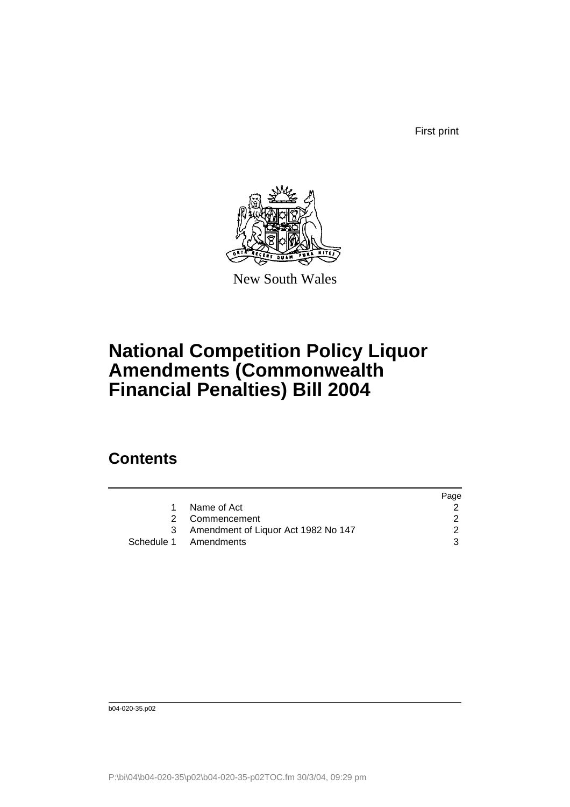First print



New South Wales

# **National Competition Policy Liquor Amendments (Commonwealth Financial Penalties) Bill 2004**

## **Contents**

|           |                                     | Page |
|-----------|-------------------------------------|------|
| $1 \quad$ | Name of Act                         |      |
|           | 2 Commencement                      |      |
|           | Amendment of Liquor Act 1982 No 147 |      |
|           | Schedule 1 Amendments               | 3    |

b04-020-35.p02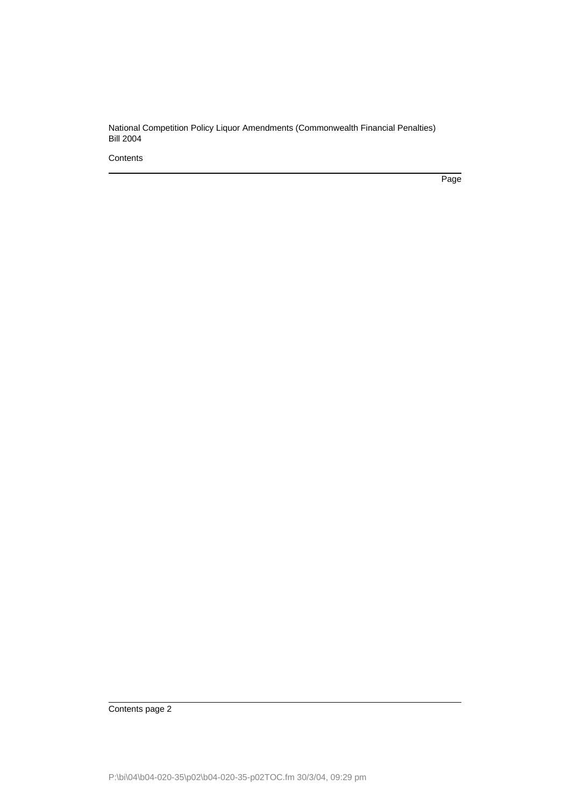**Contents** 

Page

Contents page 2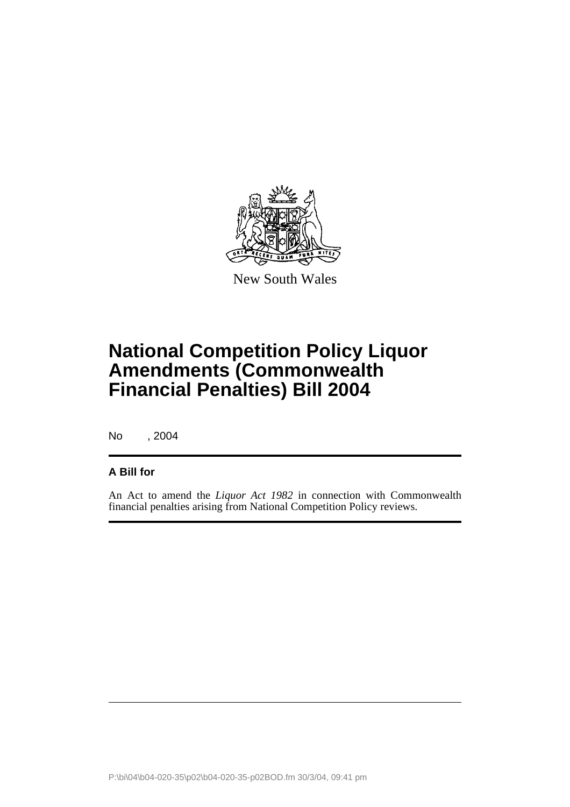

New South Wales

# **National Competition Policy Liquor Amendments (Commonwealth Financial Penalties) Bill 2004**

No , 2004

#### **A Bill for**

An Act to amend the *Liquor Act 1982* in connection with Commonwealth financial penalties arising from National Competition Policy reviews.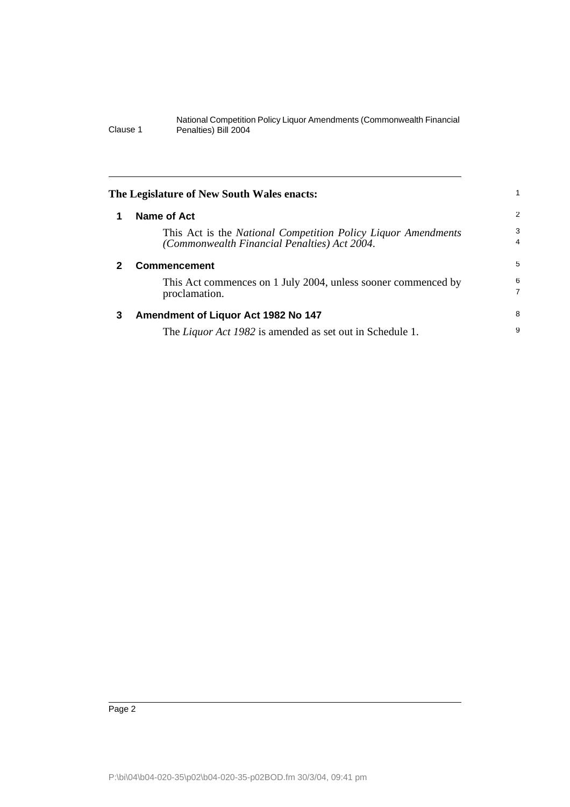| The Legislature of New South Wales enacts: |                                                                                                               |                     |
|--------------------------------------------|---------------------------------------------------------------------------------------------------------------|---------------------|
| 1                                          | Name of Act                                                                                                   | 2                   |
|                                            | This Act is the National Competition Policy Liquor Amendments<br>(Commonwealth Financial Penalties) Act 2004. | 3<br>$\overline{4}$ |
| 2                                          | <b>Commencement</b>                                                                                           | 5                   |
|                                            | This Act commences on 1 July 2004, unless sooner commenced by<br>proclamation.                                | 6<br>$\overline{7}$ |
| 3                                          | Amendment of Liquor Act 1982 No 147                                                                           | 8                   |
|                                            | The <i>Liquor Act 1982</i> is amended as set out in Schedule 1.                                               | 9                   |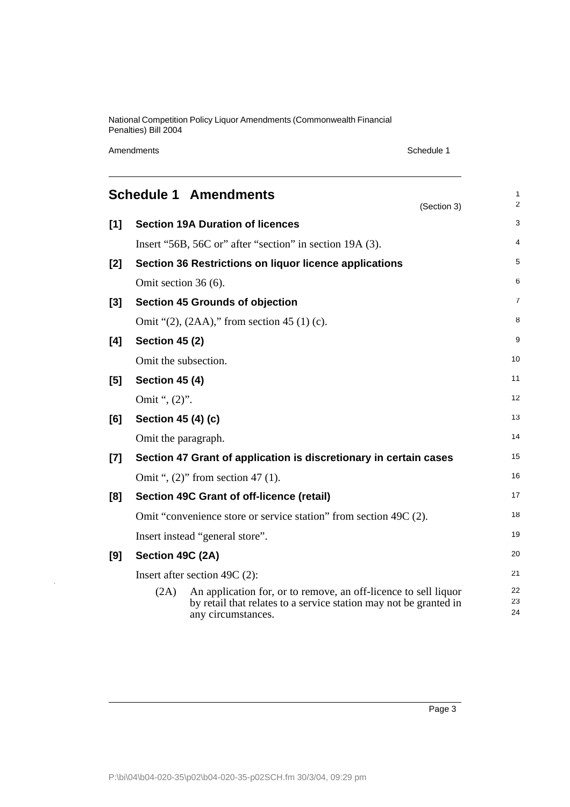Amendments Schedule 1

J.

|       |                       | <b>Schedule 1 Amendments</b>                                                                                                                               | (Section 3) | 1<br>$\overline{2}$ |
|-------|-----------------------|------------------------------------------------------------------------------------------------------------------------------------------------------------|-------------|---------------------|
| [1]   |                       | <b>Section 19A Duration of licences</b>                                                                                                                    |             | 3                   |
|       |                       | Insert "56B, 56C or" after "section" in section 19A (3).                                                                                                   |             | $\overline{4}$      |
| [2]   |                       | Section 36 Restrictions on liquor licence applications                                                                                                     |             | 5                   |
|       | Omit section 36 (6).  |                                                                                                                                                            |             | 6                   |
| $[3]$ |                       | <b>Section 45 Grounds of objection</b>                                                                                                                     |             | 7                   |
|       |                       | Omit " $(2)$ , $(2AA)$ ," from section 45 $(1)$ (c).                                                                                                       |             | 8                   |
| [4]   | <b>Section 45 (2)</b> |                                                                                                                                                            |             | 9                   |
|       | Omit the subsection.  |                                                                                                                                                            |             | 10                  |
| [5]   | <b>Section 45 (4)</b> |                                                                                                                                                            |             | 11                  |
|       | Omit ", (2)".         |                                                                                                                                                            |             | 12                  |
| [6]   | Section 45 (4) (c)    |                                                                                                                                                            |             | 13                  |
|       | Omit the paragraph.   |                                                                                                                                                            |             | 14                  |
| $[7]$ |                       | Section 47 Grant of application is discretionary in certain cases                                                                                          |             | 15                  |
|       |                       | Omit ", $(2)$ " from section 47 $(1)$ .                                                                                                                    |             | 16                  |
| [8]   |                       | Section 49C Grant of off-licence (retail)                                                                                                                  |             | 17                  |
|       |                       | Omit "convenience store or service station" from section 49C (2).                                                                                          |             | 18                  |
|       |                       | Insert instead "general store".                                                                                                                            |             | 19                  |
| [9]   | Section 49C (2A)      |                                                                                                                                                            |             | 20                  |
|       |                       | Insert after section 49C $(2)$ :                                                                                                                           |             | 21                  |
|       | (2A)                  | An application for, or to remove, an off-licence to sell liquor<br>by retail that relates to a service station may not be granted in<br>any circumstances. |             | 22<br>23<br>24      |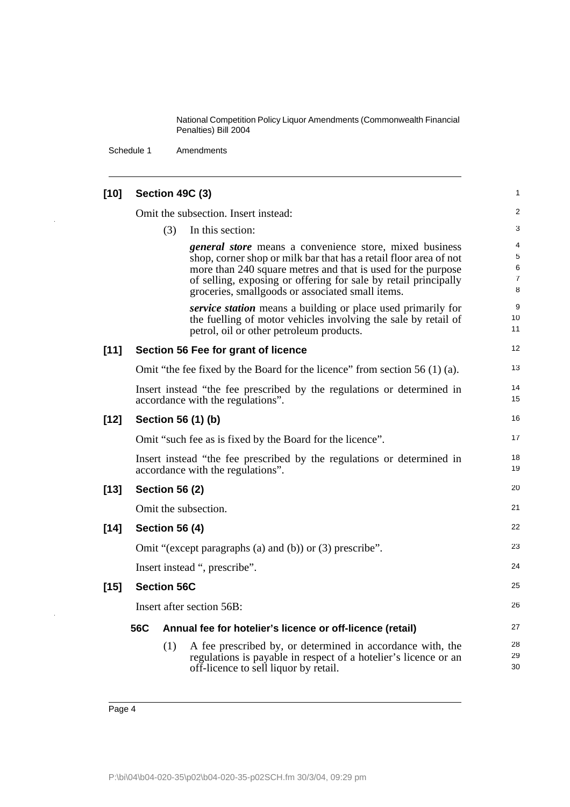Schedule 1 Amendments

| $[10]$ |                       |                       | Section 49C (3)                                                                                                                                                                                                                                                                                                            | 1                                  |
|--------|-----------------------|-----------------------|----------------------------------------------------------------------------------------------------------------------------------------------------------------------------------------------------------------------------------------------------------------------------------------------------------------------------|------------------------------------|
|        |                       |                       | Omit the subsection. Insert instead:                                                                                                                                                                                                                                                                                       | $\overline{c}$                     |
|        |                       | (3)                   | In this section:                                                                                                                                                                                                                                                                                                           | 3                                  |
|        |                       |                       | <i>general store</i> means a convenience store, mixed business<br>shop, corner shop or milk bar that has a retail floor area of not<br>more than 240 square metres and that is used for the purpose<br>of selling, exposing or offering for sale by retail principally<br>groceries, smallgoods or associated small items. | 4<br>5<br>6<br>$\overline{7}$<br>8 |
|        |                       |                       | <i>service station</i> means a building or place used primarily for<br>the fuelling of motor vehicles involving the sale by retail of<br>petrol, oil or other petroleum products.                                                                                                                                          | 9<br>10<br>11                      |
| $[11]$ |                       |                       | Section 56 Fee for grant of licence                                                                                                                                                                                                                                                                                        | 12                                 |
|        |                       |                       | Omit "the fee fixed by the Board for the licence" from section $56(1)(a)$ .                                                                                                                                                                                                                                                | 13                                 |
|        |                       |                       | Insert instead "the fee prescribed by the regulations or determined in<br>accordance with the regulations".                                                                                                                                                                                                                | 14<br>15                           |
| $[12]$ |                       |                       | Section 56 (1) (b)                                                                                                                                                                                                                                                                                                         | 16                                 |
|        |                       |                       | Omit "such fee as is fixed by the Board for the licence".                                                                                                                                                                                                                                                                  | 17                                 |
|        |                       |                       | Insert instead "the fee prescribed by the regulations or determined in<br>accordance with the regulations".                                                                                                                                                                                                                | 18<br>19                           |
| $[13]$ | <b>Section 56 (2)</b> |                       | 20                                                                                                                                                                                                                                                                                                                         |                                    |
|        |                       |                       | Omit the subsection.                                                                                                                                                                                                                                                                                                       | 21                                 |
| $[14]$ |                       | <b>Section 56 (4)</b> |                                                                                                                                                                                                                                                                                                                            | 22                                 |
|        |                       |                       | Omit "(except paragraphs (a) and (b)) or $(3)$ prescribe".                                                                                                                                                                                                                                                                 | 23                                 |
|        |                       |                       | Insert instead ", prescribe".                                                                                                                                                                                                                                                                                              | 24                                 |
| $[15]$ |                       | <b>Section 56C</b>    |                                                                                                                                                                                                                                                                                                                            | 25                                 |
|        |                       |                       | Insert after section 56B:                                                                                                                                                                                                                                                                                                  | 26                                 |
|        | 56C                   |                       | Annual fee for hotelier's licence or off-licence (retail)                                                                                                                                                                                                                                                                  | 27                                 |
|        |                       | (1)                   | A fee prescribed by, or determined in accordance with, the<br>regulations is payable in respect of a hotelier's licence or an<br>off-licence to sell liquor by retail.                                                                                                                                                     | 28<br>29<br>30                     |
|        |                       |                       |                                                                                                                                                                                                                                                                                                                            |                                    |

 $\overline{\phantom{a}}$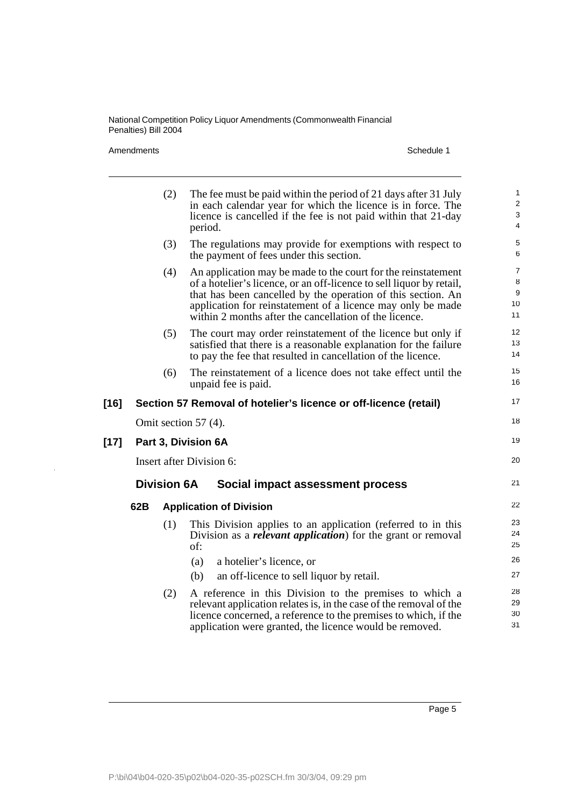Amendments Schedule 1

l,

|        |     | (2)                | The fee must be paid within the period of 21 days after 31 July<br>in each calendar year for which the licence is in force. The<br>licence is cancelled if the fee is not paid within that 21-day<br>period.                                                                                                                   | 1<br>2<br>3<br>$\overline{4}$                       |
|--------|-----|--------------------|--------------------------------------------------------------------------------------------------------------------------------------------------------------------------------------------------------------------------------------------------------------------------------------------------------------------------------|-----------------------------------------------------|
|        |     | (3)                | The regulations may provide for exemptions with respect to<br>the payment of fees under this section.                                                                                                                                                                                                                          | 5<br>6                                              |
|        |     | (4)                | An application may be made to the court for the reinstatement<br>of a hotelier's licence, or an off-licence to sell liquor by retail,<br>that has been cancelled by the operation of this section. An<br>application for reinstatement of a licence may only be made<br>within 2 months after the cancellation of the licence. | $\overline{7}$<br>8<br>$\boldsymbol{9}$<br>10<br>11 |
|        |     | (5)                | The court may order reinstatement of the licence but only if<br>satisfied that there is a reasonable explanation for the failure<br>to pay the fee that resulted in cancellation of the licence.                                                                                                                               | 12<br>13<br>14                                      |
|        |     | (6)                | The reinstatement of a licence does not take effect until the<br>unpaid fee is paid.                                                                                                                                                                                                                                           | 15<br>16                                            |
| $[16]$ |     |                    | Section 57 Removal of hotelier's licence or off-licence (retail)                                                                                                                                                                                                                                                               | 17                                                  |
|        |     |                    | Omit section 57 $(4)$ .                                                                                                                                                                                                                                                                                                        | 18                                                  |
| $[17]$ |     |                    | Part 3, Division 6A                                                                                                                                                                                                                                                                                                            | 19                                                  |
|        |     |                    | Insert after Division 6:                                                                                                                                                                                                                                                                                                       | 20                                                  |
|        |     | <b>Division 6A</b> | Social impact assessment process                                                                                                                                                                                                                                                                                               | 21                                                  |
|        | 62B |                    | <b>Application of Division</b>                                                                                                                                                                                                                                                                                                 | 22                                                  |
|        |     | (1)                | This Division applies to an application (referred to in this<br>Division as a <i>relevant application</i> ) for the grant or removal<br>of:                                                                                                                                                                                    | 23<br>24<br>25                                      |
|        |     |                    | a hotelier's licence, or<br>(a)                                                                                                                                                                                                                                                                                                | 26                                                  |
|        |     |                    | (b)<br>an off-licence to sell liquor by retail.                                                                                                                                                                                                                                                                                | 27                                                  |
|        |     | (2)                | A reference in this Division to the premises to which a<br>relevant application relates is, in the case of the removal of the<br>licence concerned, a reference to the premises to which, if the<br>application were granted, the licence would be removed.                                                                    | 28<br>29<br>30<br>31                                |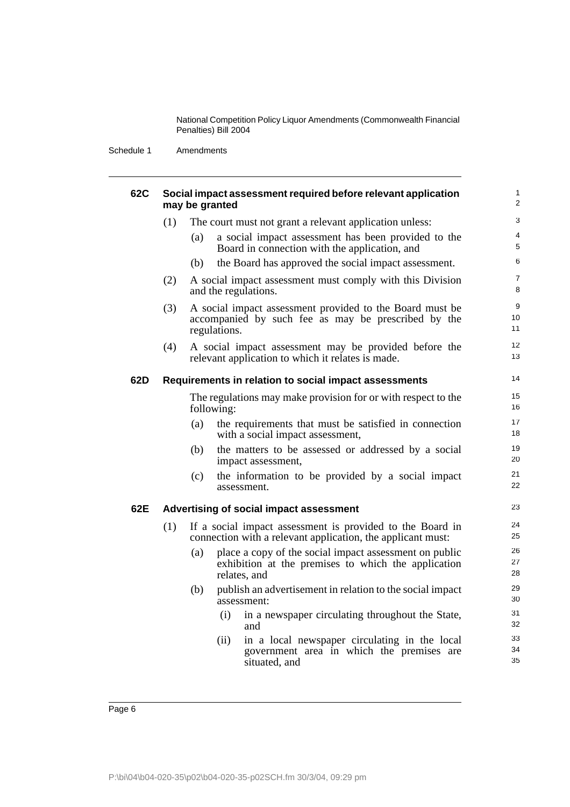Schedule 1 Amendments

| <b>62C</b> |     | may be granted |              | Social impact assessment required before relevant application                                                                 | $\mathbf{1}$<br>2   |
|------------|-----|----------------|--------------|-------------------------------------------------------------------------------------------------------------------------------|---------------------|
|            | (1) |                |              | The court must not grant a relevant application unless:                                                                       | 3                   |
|            |     | (a)            |              | a social impact assessment has been provided to the<br>Board in connection with the application, and                          | 4<br>5              |
|            |     | (b)            |              | the Board has approved the social impact assessment.                                                                          | 6                   |
|            | (2) |                |              | A social impact assessment must comply with this Division<br>and the regulations.                                             | $\overline{7}$<br>8 |
|            | (3) |                | regulations. | A social impact assessment provided to the Board must be<br>accompanied by such fee as may be prescribed by the               | 9<br>10<br>11       |
|            | (4) |                |              | A social impact assessment may be provided before the<br>relevant application to which it relates is made.                    | 12<br>13            |
| 62D        |     |                |              | Requirements in relation to social impact assessments                                                                         | 14                  |
|            |     |                | following:   | The regulations may make provision for or with respect to the                                                                 | 15<br>16            |
|            |     | (a)            |              | the requirements that must be satisfied in connection<br>with a social impact assessment,                                     | 17<br>18            |
|            |     | (b)            |              | the matters to be assessed or addressed by a social<br>impact assessment,                                                     | 19<br>20            |
|            |     | (c)            |              | the information to be provided by a social impact<br>assessment.                                                              | 21<br>22            |
| 62E        |     |                |              | Advertising of social impact assessment                                                                                       | 23                  |
|            | (1) |                |              | If a social impact assessment is provided to the Board in<br>connection with a relevant application, the applicant must:      | 24<br>25            |
|            |     | (a)            |              | place a copy of the social impact assessment on public<br>exhibition at the premises to which the application<br>relates, and | 26<br>27<br>28      |
|            |     | (b)            |              | publish an advertisement in relation to the social impact<br>assessment:                                                      | 29<br>30            |
|            |     |                | (i)          | in a newspaper circulating throughout the State,<br>and                                                                       | 31<br>32            |
|            |     |                | (ii)         | in a local newspaper circulating in the local<br>government area in which the premises are<br>situated, and                   | 33<br>34<br>35      |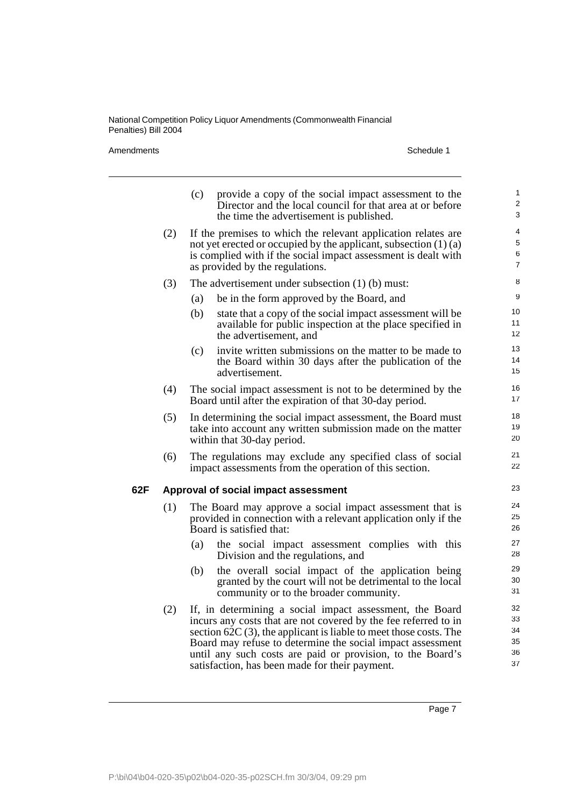Amendments Schedule 1

|     |     | provide a copy of the social impact assessment to the<br>(c)<br>Director and the local council for that area at or before<br>the time the advertisement is published.                                                                                                                                                                                                            | 1<br>$\overline{2}$<br>3         |
|-----|-----|----------------------------------------------------------------------------------------------------------------------------------------------------------------------------------------------------------------------------------------------------------------------------------------------------------------------------------------------------------------------------------|----------------------------------|
|     | (2) | If the premises to which the relevant application relates are<br>not yet erected or occupied by the applicant, subsection $(1)(a)$<br>is complied with if the social impact assessment is dealt with<br>as provided by the regulations.                                                                                                                                          | 4<br>5<br>6<br>$\overline{7}$    |
|     | (3) | The advertisement under subsection $(1)$ (b) must:                                                                                                                                                                                                                                                                                                                               | 8                                |
|     |     | (a)<br>be in the form approved by the Board, and                                                                                                                                                                                                                                                                                                                                 | 9                                |
|     |     | (b)<br>state that a copy of the social impact assessment will be<br>available for public inspection at the place specified in<br>the advertisement, and                                                                                                                                                                                                                          | 10<br>11<br>12                   |
|     |     | invite written submissions on the matter to be made to<br>(c)<br>the Board within 30 days after the publication of the<br>advertisement.                                                                                                                                                                                                                                         | 13<br>14<br>15                   |
|     | (4) | The social impact assessment is not to be determined by the<br>Board until after the expiration of that 30-day period.                                                                                                                                                                                                                                                           | 16<br>17                         |
|     | (5) | In determining the social impact assessment, the Board must<br>take into account any written submission made on the matter<br>within that 30-day period.                                                                                                                                                                                                                         | 18<br>19<br>20                   |
|     | (6) | The regulations may exclude any specified class of social<br>impact assessments from the operation of this section.                                                                                                                                                                                                                                                              | 21<br>22                         |
| 62F |     | Approval of social impact assessment                                                                                                                                                                                                                                                                                                                                             | 23                               |
|     | (1) | The Board may approve a social impact assessment that is<br>provided in connection with a relevant application only if the<br>Board is satisfied that:                                                                                                                                                                                                                           | 24<br>25<br>26                   |
|     |     | the social impact assessment complies with this<br>(a)<br>Division and the regulations, and                                                                                                                                                                                                                                                                                      | 27<br>28                         |
|     |     | the overall social impact of the application being<br>(b)<br>granted by the court will not be detrimental to the local<br>community or to the broader community.                                                                                                                                                                                                                 | 29<br>30<br>31                   |
|     | (2) | If, in determining a social impact assessment, the Board<br>incurs any costs that are not covered by the fee referred to in<br>section $62C(3)$ , the applicant is liable to meet those costs. The<br>Board may refuse to determine the social impact assessment<br>until any such costs are paid or provision, to the Board's<br>satisfaction, has been made for their payment. | 32<br>33<br>34<br>35<br>36<br>37 |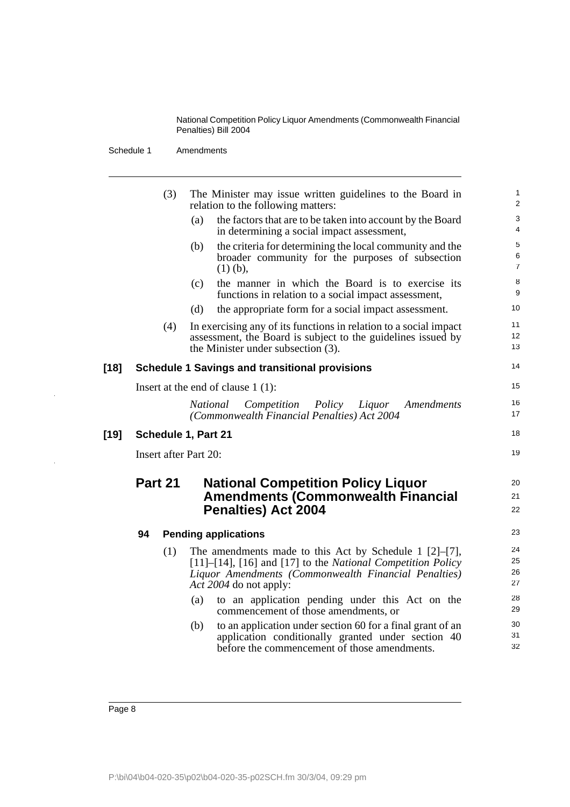Schedule 1 Amendments

|      |         | (3) | The Minister may issue written guidelines to the Board in<br>relation to the following matters:                                                                                                    |  |
|------|---------|-----|----------------------------------------------------------------------------------------------------------------------------------------------------------------------------------------------------|--|
|      |         |     | the factors that are to be taken into account by the Board<br>(a)<br>in determining a social impact assessment,                                                                                    |  |
|      |         |     | the criteria for determining the local community and the<br>(b)<br>broader community for the purposes of subsection<br>$(1)$ (b),                                                                  |  |
|      |         |     | the manner in which the Board is to exercise its<br>(c)<br>functions in relation to a social impact assessment,                                                                                    |  |
|      |         |     | (d)<br>the appropriate form for a social impact assessment.                                                                                                                                        |  |
|      |         | (4) | In exercising any of its functions in relation to a social impact<br>assessment, the Board is subject to the guidelines issued by<br>the Minister under subsection (3).                            |  |
| [18] |         |     | <b>Schedule 1 Savings and transitional provisions</b>                                                                                                                                              |  |
|      |         |     | Insert at the end of clause $1(1)$ :                                                                                                                                                               |  |
|      |         |     | National<br>Competition<br>Policy<br>Liquor<br>Amendments<br>(Commonwealth Financial Penalties) Act 2004                                                                                           |  |
| [19] |         |     | Schedule 1, Part 21                                                                                                                                                                                |  |
|      |         |     | <b>Insert after Part 20:</b>                                                                                                                                                                       |  |
|      | Part 21 |     | <b>National Competition Policy Liquor</b>                                                                                                                                                          |  |
|      |         |     |                                                                                                                                                                                                    |  |
|      |         |     | <b>Amendments (Commonwealth Financial</b>                                                                                                                                                          |  |
|      |         |     | <b>Penalties) Act 2004</b>                                                                                                                                                                         |  |
|      | 94      |     | <b>Pending applications</b>                                                                                                                                                                        |  |
|      |         | (1) | The amendments made to this Act by Schedule 1 $[2]-[7]$ ,<br>$[11]$ – $[14]$ , $[16]$ and $[17]$ to the <i>National Competition Policy</i><br>Liquor Amendments (Commonwealth Financial Penalties) |  |
|      |         |     | Act 2004 do not apply:                                                                                                                                                                             |  |
|      |         |     | to an application pending under this Act on the<br>(a)<br>commencement of those amendments, or                                                                                                     |  |
|      |         |     | to an application under section 60 for a final grant of an<br>(b)<br>application conditionally granted under section 40                                                                            |  |

 $\overline{\phantom{a}}$ 

 $\frac{1}{2}$